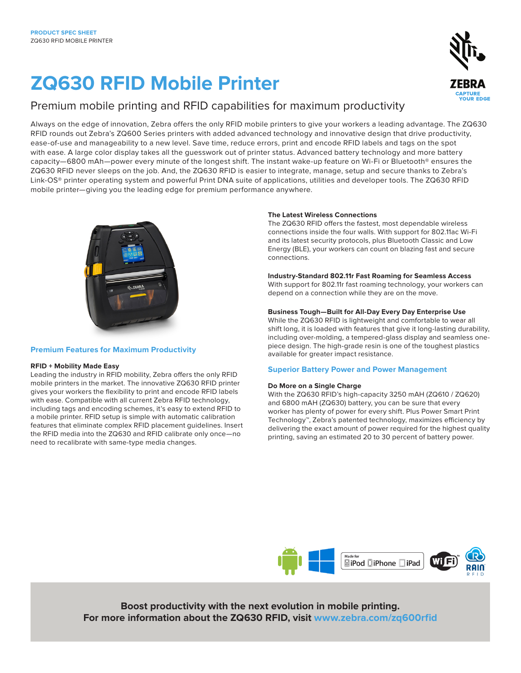# **ZQ630 RFID Mobile Printer**

### Premium mobile printing and RFID capabilities for maximum productivity

Always on the edge of innovation, Zebra offers the only RFID mobile printers to give your workers a leading advantage. The ZQ630 RFID rounds out Zebra's ZQ600 Series printers with added advanced technology and innovative design that drive productivity, ease-of-use and manageability to a new level. Save time, reduce errors, print and encode RFID labels and tags on the spot with ease. A large color display takes all the guesswork out of printer status. Advanced battery technology and more battery capacity—6800 mAh—power every minute of the longest shift. The instant wake-up feature on Wi-Fi or Bluetooth® ensures the ZQ630 RFID never sleeps on the job. And, the ZQ630 RFID is easier to integrate, manage, setup and secure thanks to Zebra's Link-OS® printer operating system and powerful Print DNA suite of applications, utilities and developer tools. The ZQ630 RFID mobile printer—giving you the leading edge for premium performance anywhere.



### **Premium Features for Maximum Productivity**

### **RFID + Mobility Made Easy**

Leading the industry in RFID mobility, Zebra offers the only RFID mobile printers in the market. The innovative ZQ630 RFID printer gives your workers the flexibility to print and encode RFID labels with ease. Compatible with all current Zebra RFID technology, including tags and encoding schemes, it's easy to extend RFID to a mobile printer. RFID setup is simple with automatic calibration features that eliminate complex RFID placement guidelines. Insert the RFID media into the ZQ630 and RFID calibrate only once—no need to recalibrate with same-type media changes.

### **The Latest Wireless Connections**

The ZQ630 RFID offers the fastest, most dependable wireless connections inside the four walls. With support for 802.11ac Wi-Fi and its latest security protocols, plus Bluetooth Classic and Low Energy (BLE), your workers can count on blazing fast and secure connections.

### **Industry-Standard 802.11r Fast Roaming for Seamless Access**

With support for 802.11r fast roaming technology, your workers can depend on a connection while they are on the move.

### **Business Tough—Built for All-Day Every Day Enterprise Use**

While the ZQ630 RFID is lightweight and comfortable to wear all shift long, it is loaded with features that give it long-lasting durability, including over-molding, a tempered-glass display and seamless onepiece design. The high-grade resin is one of the toughest plastics available for greater impact resistance.

### **Superior Battery Power and Power Management**

### **Do More on a Single Charge**

With the ZQ630 RFID's high-capacity 3250 mAH (ZQ610 / ZQ620) and 6800 mAH (ZQ630) battery, you can be sure that every worker has plenty of power for every shift. Plus Power Smart Print Technology™, Zebra's patented technology, maximizes efficiency by delivering the exact amount of power required for the highest quality printing, saving an estimated 20 to 30 percent of battery power.



**Boost productivity with the next evolution in mobile printing. For more information about the ZQ630 RFID, visit www.zebra.com/zq600rfid**



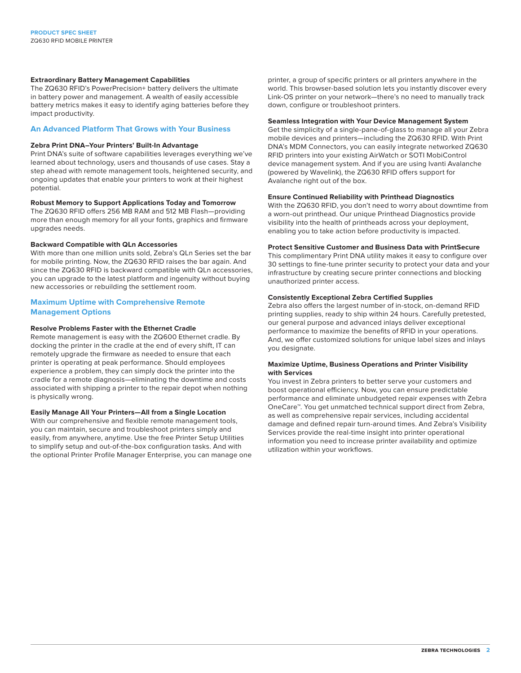### **Extraordinary Battery Management Capabilities**

The ZQ630 RFID's PowerPrecision+ battery delivers the ultimate in battery power and management. A wealth of easily accessible battery metrics makes it easy to identify aging batteries before they impact productivity.

### **An Advanced Platform That Grows with Your Business**

### **Zebra Print DNA–Your Printers' Built-In Advantage**

Print DNA's suite of software capabilities leverages everything we've learned about technology, users and thousands of use cases. Stay a step ahead with remote management tools, heightened security, and ongoing updates that enable your printers to work at their highest potential.

### **Robust Memory to Support Applications Today and Tomorrow**

The ZQ630 RFID offers 256 MB RAM and 512 MB Flash—providing more than enough memory for all your fonts, graphics and firmware upgrades needs.

### **Backward Compatible with QLn Accessories**

With more than one million units sold, Zebra's QLn Series set the bar for mobile printing. Now, the ZQ630 RFID raises the bar again. And since the ZQ630 RFID is backward compatible with QLn accessories, you can upgrade to the latest platform and ingenuity without buying new accessories or rebuilding the settlement room.

### **Maximum Uptime with Comprehensive Remote Management Options**

### **Resolve Problems Faster with the Ethernet Cradle**

Remote management is easy with the ZQ600 Ethernet cradle. By docking the printer in the cradle at the end of every shift, IT can remotely upgrade the firmware as needed to ensure that each printer is operating at peak performance. Should employees experience a problem, they can simply dock the printer into the cradle for a remote diagnosis—eliminating the downtime and costs associated with shipping a printer to the repair depot when nothing is physically wrong.

### **Easily Manage All Your Printers—All from a Single Location**

With our comprehensive and flexible remote management tools, you can maintain, secure and troubleshoot printers simply and easily, from anywhere, anytime. Use the free Printer Setup Utilities to simplify setup and out-of-the-box configuration tasks. And with the optional Printer Profile Manager Enterprise, you can manage one printer, a group of specific printers or all printers anywhere in the world. This browser-based solution lets you instantly discover every Link-OS printer on your network—there's no need to manually track down, configure or troubleshoot printers.

### **Seamless Integration with Your Device Management System**

Get the simplicity of a single-pane-of-glass to manage all your Zebra mobile devices and printers—including the ZQ630 RFID. With Print DNA's MDM Connectors, you can easily integrate networked ZQ630 RFID printers into your existing AirWatch or SOTI MobiControl device management system. And if you are using Ivanti Avalanche (powered by Wavelink), the ZQ630 RFID offers support for Avalanche right out of the box.

### **Ensure Continued Reliability with Printhead Diagnostics**

With the ZQ630 RFID, you don't need to worry about downtime from a worn-out printhead. Our unique Printhead Diagnostics provide visibility into the health of printheads across your deployment, enabling you to take action before productivity is impacted.

### **Protect Sensitive Customer and Business Data with PrintSecure**

This complimentary Print DNA utility makes it easy to configure over 30 settings to fine-tune printer security to protect your data and your infrastructure by creating secure printer connections and blocking unauthorized printer access.

### **Consistently Exceptional Zebra Certified Supplies**

Zebra also offers the largest number of in-stock, on-demand RFID printing supplies, ready to ship within 24 hours. Carefully pretested, our general purpose and advanced inlays deliver exceptional performance to maximize the benefits of RFID in your operations. And, we offer customized solutions for unique label sizes and inlays you designate.

### **Maximize Uptime, Business Operations and Printer Visibility with Services**

You invest in Zebra printers to better serve your customers and boost operational efficiency. Now, you can ensure predictable performance and eliminate unbudgeted repair expenses with Zebra OneCare™. You get unmatched technical support direct from Zebra, as well as comprehensive repair services, including accidental damage and defined repair turn-around times. And Zebra's Visibility Services provide the real-time insight into printer operational information you need to increase printer availability and optimize utilization within your workflows.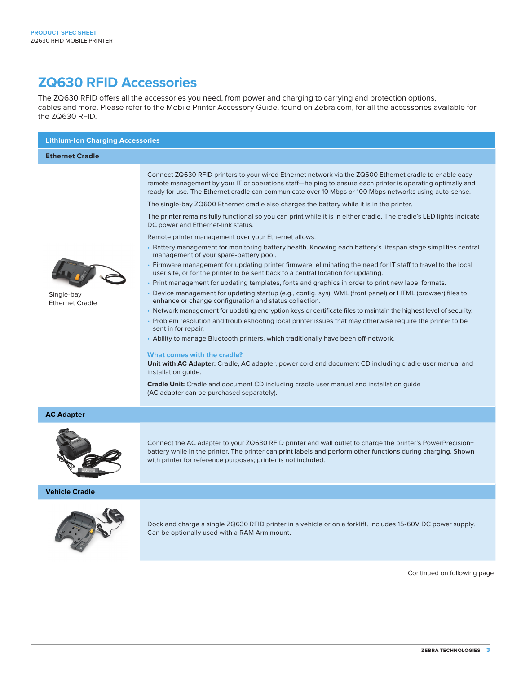### **ZQ630 RFID Accessories**

The ZQ630 RFID offers all the accessories you need, from power and charging to carrying and protection options, cables and more. Please refer to the Mobile Printer Accessory Guide, found on Zebra.com, for all the accessories available for the ZQ630 RFID.

| <b>Lithium-Ion Charging Accessories</b>        |                                                                                                                                                                                                                                                                                                                                                                                                                                                                                                                                                                                                                                                                                                                                                                                                                                                                                                                                                                                                                                                                                                                                                                                                                                                                                                                                                                                                                                                                                                                                                                                                                                                                                                                                                                                                                                                                                                                                                         |  |
|------------------------------------------------|---------------------------------------------------------------------------------------------------------------------------------------------------------------------------------------------------------------------------------------------------------------------------------------------------------------------------------------------------------------------------------------------------------------------------------------------------------------------------------------------------------------------------------------------------------------------------------------------------------------------------------------------------------------------------------------------------------------------------------------------------------------------------------------------------------------------------------------------------------------------------------------------------------------------------------------------------------------------------------------------------------------------------------------------------------------------------------------------------------------------------------------------------------------------------------------------------------------------------------------------------------------------------------------------------------------------------------------------------------------------------------------------------------------------------------------------------------------------------------------------------------------------------------------------------------------------------------------------------------------------------------------------------------------------------------------------------------------------------------------------------------------------------------------------------------------------------------------------------------------------------------------------------------------------------------------------------------|--|
| <b>Ethernet Cradle</b>                         |                                                                                                                                                                                                                                                                                                                                                                                                                                                                                                                                                                                                                                                                                                                                                                                                                                                                                                                                                                                                                                                                                                                                                                                                                                                                                                                                                                                                                                                                                                                                                                                                                                                                                                                                                                                                                                                                                                                                                         |  |
| De ail<br>Single-bay<br><b>Ethernet Cradle</b> | Connect ZQ630 RFID printers to your wired Ethernet network via the ZQ600 Ethernet cradle to enable easy<br>remote management by your IT or operations staff—helping to ensure each printer is operating optimally and<br>ready for use. The Ethernet cradle can communicate over 10 Mbps or 100 Mbps networks using auto-sense.<br>The single-bay ZQ600 Ethernet cradle also charges the battery while it is in the printer.<br>The printer remains fully functional so you can print while it is in either cradle. The cradle's LED lights indicate<br>DC power and Ethernet-link status.<br>Remote printer management over your Ethernet allows:<br>• Battery management for monitoring battery health. Knowing each battery's lifespan stage simplifies central<br>management of your spare-battery pool.<br>• Firmware management for updating printer firmware, eliminating the need for IT staff to travel to the local<br>user site, or for the printer to be sent back to a central location for updating.<br>• Print management for updating templates, fonts and graphics in order to print new label formats.<br>• Device management for updating startup (e.g., config. sys), WML (front panel) or HTML (browser) files to<br>enhance or change configuration and status collection.<br>• Network management for updating encryption keys or certificate files to maintain the highest level of security.<br>• Problem resolution and troubleshooting local printer issues that may otherwise require the printer to be<br>sent in for repair.<br>• Ability to manage Bluetooth printers, which traditionally have been off-network.<br>What comes with the cradle?<br>Unit with AC Adapter: Cradle, AC adapter, power cord and document CD including cradle user manual and<br>installation guide.<br>Cradle Unit: Cradle and document CD including cradle user manual and installation guide<br>(AC adapter can be purchased separately). |  |
| <b>AC Adapter</b>                              |                                                                                                                                                                                                                                                                                                                                                                                                                                                                                                                                                                                                                                                                                                                                                                                                                                                                                                                                                                                                                                                                                                                                                                                                                                                                                                                                                                                                                                                                                                                                                                                                                                                                                                                                                                                                                                                                                                                                                         |  |
|                                                | Connect the AC adapter to your ZQ630 RFID printer and wall outlet to charge the printer's PowerPrecision+<br>battery while in the printer. The printer can print labels and perform other functions during charging. Shown<br>with printer for reference purposes; printer is not included.                                                                                                                                                                                                                                                                                                                                                                                                                                                                                                                                                                                                                                                                                                                                                                                                                                                                                                                                                                                                                                                                                                                                                                                                                                                                                                                                                                                                                                                                                                                                                                                                                                                             |  |
| <b>Vehicle Cradle</b>                          |                                                                                                                                                                                                                                                                                                                                                                                                                                                                                                                                                                                                                                                                                                                                                                                                                                                                                                                                                                                                                                                                                                                                                                                                                                                                                                                                                                                                                                                                                                                                                                                                                                                                                                                                                                                                                                                                                                                                                         |  |
|                                                | Dock and charge a single ZQ630 RFID printer in a vehicle or on a forklift. Includes 15-60V DC power supply.<br>Can be optionally used with a RAM Arm mount.                                                                                                                                                                                                                                                                                                                                                                                                                                                                                                                                                                                                                                                                                                                                                                                                                                                                                                                                                                                                                                                                                                                                                                                                                                                                                                                                                                                                                                                                                                                                                                                                                                                                                                                                                                                             |  |
|                                                | Continued on following page                                                                                                                                                                                                                                                                                                                                                                                                                                                                                                                                                                                                                                                                                                                                                                                                                                                                                                                                                                                                                                                                                                                                                                                                                                                                                                                                                                                                                                                                                                                                                                                                                                                                                                                                                                                                                                                                                                                             |  |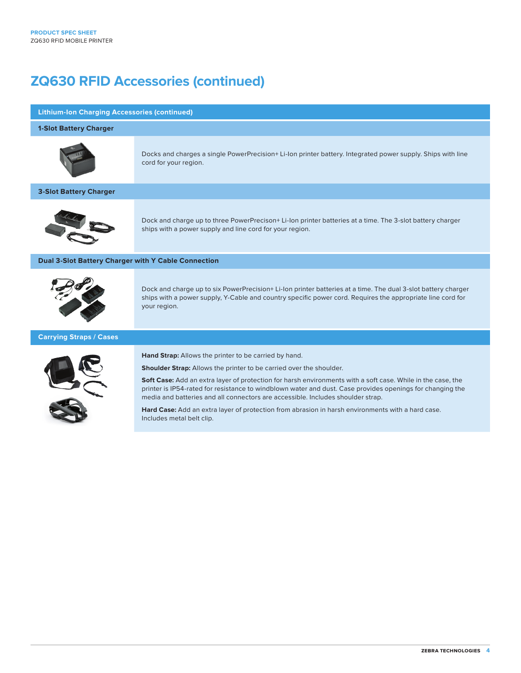## **ZQ630 RFID Accessories (continued)**

### **Lithium-Ion Charging Accessories (continued)**

### **1-Slot Battery Charger**



Docks and charges a single PowerPrecision+ Li-Ion printer battery. Integrated power supply. Ships with line cord for your region.

### **3-Slot Battery Charger**



Dock and charge up to three PowerPrecison+ Li-Ion printer batteries at a time. The 3-slot battery charger ships with a power supply and line cord for your region.

### **Dual 3-Slot Battery Charger with Y Cable Connection**



Dock and charge up to six PowerPrecision+ Li-Ion printer batteries at a time. The dual 3-slot battery charger ships with a power supply, Y-Cable and country specific power cord. Requires the appropriate line cord for your region.

### **Carrying Straps / Cases**



**Hand Strap:** Allows the printer to be carried by hand.

**Shoulder Strap:** Allows the printer to be carried over the shoulder.

**Soft Case:** Add an extra layer of protection for harsh environments with a soft case. While in the case, the printer is IP54-rated for resistance to windblown water and dust. Case provides openings for changing the media and batteries and all connectors are accessible. Includes shoulder strap.

**Hard Case:** Add an extra layer of protection from abrasion in harsh environments with a hard case. Includes metal belt clip.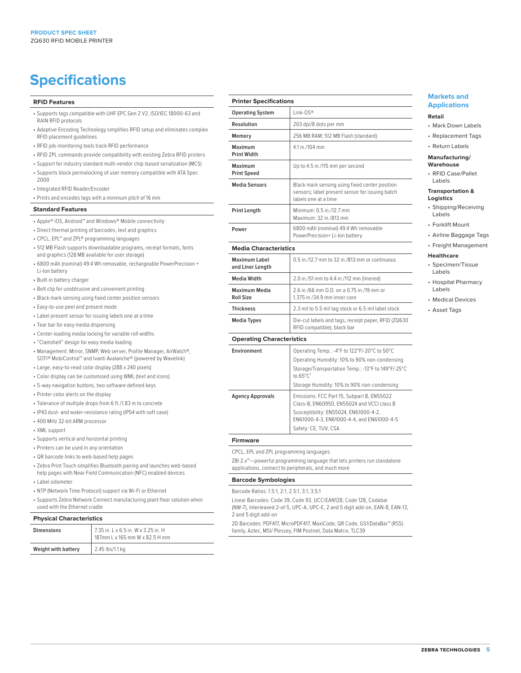## **Specifications**

### **RFID Features**

- Supports tags compatible with UHF EPC Gen 2 V2, ISO/IEC 18000-63 and RAIN RFID protocols
- Adaptive Encoding Technology simplifies RFID setup and eliminates complex RFID placement guidelines
- RFID job-monitoring tools track RFID performance
- RFID ZPL commands provide compatibility with existing Zebra RFID printers
- Support for industry standard multi-vendor chip-based serialization (MCS)
- Supports block permalocking of user memory compatible with ATA Spec 2000
- Integrated RFID Reader/Encoder
- Prints and encodes tags with a minimum pitch of 16 mm

### **Standard Features**

- Apple® iOS, Android™ and Windows® Mobile connectivity
- Direct thermal printing of barcodes, text and graphics
- CPCL, EPL™ and ZPL® programming languages
- 512 MB Flash supports downloadable programs, receipt formats, fonts and graphics (128 MB available for user storage)
- 6800 mAh (nominal) 49.4 Wh removable, rechargeable PowerPrecision + Li-Ion battery
- Built-in battery charger
- Belt clip for unobtrusive and convenient printing
- Black mark sensing using fixed center position sensors
- Easy-to-use peel and present mode
- Label present sensor for issuing labels one at a time
- Tear bar for easy media dispensing
- Center-loading media locking for variable roll widths
- "Clamshell" design for easy media loading
- Management: Mirror, SNMP, Web server, Profile Manager, AirWatch®, SOTI® MobiControl**™** and Ivanti Avalanche® (powered by Wavelink)
- Large, easy-to-read color display (288 x 240 pixels)
- Color display can be customized using WML (text and icons)
- 5-way navigation buttons, two software defined keys
- Printer color alerts on the display
- Tolerance of multiple drops from 6 ft./1.83 m to concrete
- IP43 dust- and water-resistance rating (IP54 with soft case)
- 400 MHz 32-bit ARM processor
- XML support
- Supports vertical and horizontal printing
- Printers can be used in any orientation
- QR barcode links to web-based help pages
- Zebra Print Touch simplifies Bluetooth pairing and launches web-based help pages with Near Field Communication (NFC) enabled devices
- Label odometer
- NTP (Network Time Protocol) support via Wi-Fi or Ethernet
- Supports Zebra Network Connect manufacturing plant floor solution when used with the Ethernet cradle

### **Physical Characteristics**

| <b>Dimensions</b>   | 7.35 in. L x 6.5 in. W x 3.25 in. H<br>187mm L x 165 mm W x 82.5 H mm |
|---------------------|-----------------------------------------------------------------------|
| Weight with battery | 2.45 lbs/1.1 kg                                                       |

| <b>Printer Specifications</b> |                                                                                                                           |  |
|-------------------------------|---------------------------------------------------------------------------------------------------------------------------|--|
| <b>Operating System</b>       | Link-OS®                                                                                                                  |  |
| Resolution                    | 203 dpi/8 dots per mm                                                                                                     |  |
| Memory                        | 256 MB RAM; 512 MB Flash (standard)                                                                                       |  |
| Maximum<br><b>Print Width</b> | 4.1 in /104 mm                                                                                                            |  |
| Maximum<br><b>Print Speed</b> | Up to 4.5 in./115 mm per second                                                                                           |  |
| <b>Media Sensors</b>          | Black mark sensing using fixed center position<br>sensors; label present sensor for issuing batch<br>labels one at a time |  |
| <b>Print Length</b>           | Minimum: 0.5 in./12.7 mm<br>Maximum: 32 in /813 mm                                                                        |  |
| Power                         | 6800 mAh (nominal) 49.4 Wh removable<br>PowerPrecision+ Li-Ion battery                                                    |  |

### **Media Characteristics**

| <b>Maximum Label</b><br>and Liner Length | 0.5 in./12.7 mm to 32 in./813 mm or continuous                                     |
|------------------------------------------|------------------------------------------------------------------------------------|
| Media Width                              | 2.0 in./51 mm to 4.4 in./112 mm (linered)                                          |
| <b>Maximum Media</b><br><b>Roll Size</b> | 2.6 in./66 mm O.D. on a 0.75 in./19 mm or<br>1.375 in./34.9 mm inner core          |
| <b>Thickness</b>                         | 2.3 mil to 5.5 mil tag stock or 6.5 mil label stock                                |
| Media Types                              | Die-cut labels and tags, receipt paper, RFID (ZQ630<br>RFID compatible), black bar |

### **Operating Characteristics**

| Environment      | Operating Temp.: -4°F to 122°F/-20°C to 50°C<br>Operating Humidity: 10% to 90% non-condensing |
|------------------|-----------------------------------------------------------------------------------------------|
|                  | Storage/Transportation Temp.: -13°F to 149°F/-25°C<br>to $65^{\circ}$ C <sup>1</sup>          |
|                  | Storage Humidity: 10% to 90% non-condensing                                                   |
| Agency Approvals | Emissions: FCC Part 15, Subpart B, EN55022<br>Class-B, EN60950, EN55024 and VCCI class B      |
|                  | Susceptibility: EN55024, EN61000-4-2,<br>EN61000-4-3, EN61000-4-4, and EN61000-4-5            |
|                  | Safety: CE, TUV, CSA                                                                          |

### **Firmware**

CPCL, EPL and ZPL programming languages

ZBI 2.x™—powerful programming language that lets printers run standalone applications, connect to peripherals, and much more

### **Barcode Symbologies**

Barcode Ratios: 1.5:1, 2:1, 2.5:1, 3:1, 3.5:1

Linear Barcodes: Code 39, Code 93, UCC/EAN128, Code 128, Codabar (NW-7), Interleaved 2-of-5, UPC-A, UPC-E, 2 and 5 digit add-on, EAN-8, EAN-13, 2 and 5 digit add-on

2D Barcodes: PDF417, MicroPDF417, MaxiCode, QR Code, GS1/DataBar™ (RSS) family, Aztec, MSI/ Plessey, FIM Postnet, Data Matrix, TLC39

### **Markets and Applications**

### **Retail**

- Mark Down Labels
- Replacement Tags
- Return Labels

### **Manufacturing/ Warehouse**

• RFID Case/Pallet Labels

### **Transportation & Logistics**

- Shipping/Receiving Labels
- Forklift Mount
- Airline Baggage Tags

### • Freight Management

### **Healthcare**

- Specimen/Tissue Labels
- Hospital Pharmacy Labels
- Medical Devices
- Asset Tags